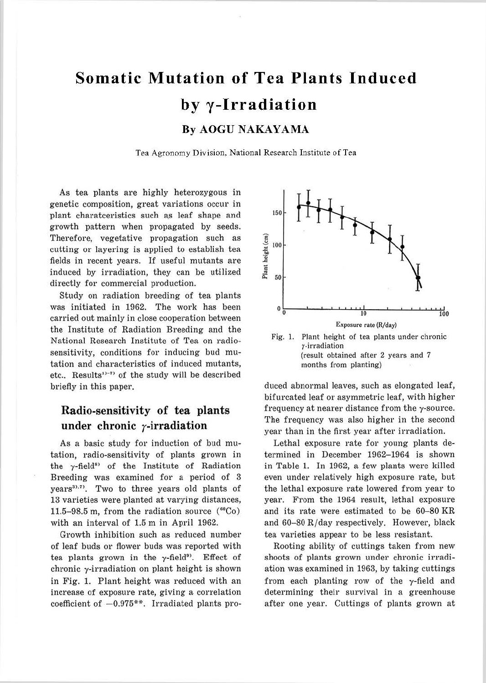# **Somatic Mutation of Tea Plants Induced by y-Irradiation By AOGU NAKAYAMA**

Tea Agronomy Division, National Research Institute of Tea

As tea plants are highly heterozygous in genetic composition, great variations occur in plant charatceristics such as leaf shape and growth pattern when propagated by seeds. Therefore, vegetative propagation such as cutting or layering is applied to establish tea fields in recent years. If useful mutants are induced by irradiation, they can be utilized directly for commercial production.

Study on radiation breeding of tea plants was initiated in 1962. The work has been carried out mainly in close cooperation between the Institute of Radiation Breeding and the National Research Institute of Tea on radiosensitivity, conditions for inducing bud mutation and characteristics of induced mutants, etc.. Results<sup>11-7</sup> of the study will be described briefly in this paper.

## **Radio-sensitivity of tea plants**  under chronic  $\gamma$ -irradiation

As a basic study for induction of bud mutation, radio-sensitivity of plants grown in the  $\gamma$ -field<sup>8</sup> of the Institute of Radiation Breeding was examined for a period of 3 years<sup>31,71</sup>. Two to three years old plants of 13 varieties were planted at varying distances, 11.5-98.5 m, from the radiation source  $(^{60}Co)$ with an interval of 1.5 m in April 1962.

Growth inhibition such as reduced number of leaf buds or flower buds was reported with tea plants grown in the  $\gamma$ -field<sup>9</sup>. Effect of chronic y-irradiation on plant height is shown in Fig. 1. Plant height was reduced with an increase of exposure rate, giving a correlation coefficient of  $-0.975**$ . Irradiated plants pro-



duced abnormal leaves, such as elongated leaf, bifurcated leaf or asymmetric leaf, with higher frequency at nearer distance from the y-source. The frequency was also higher in the second year than in the first year after irradiation.

Lethal exposure rate for young plants determined in December 1962-1964 is shown in Table 1. In 1962, a few plants were killed even under relatively high exposure rate, but the lethal exposure rate lowered from year to year. From the 1964 result, lethal exposure and its rate were estimated to be 60-80 KR and  $60-80$  R/day respectively. However, black tea varieties appear to be less resistant.

Rooting ability of cuttings taken from new shoots of plants grown under chronic irradiation was examined in 1963, by taking cuttings from each planting row of the y-field and determining their survival in a greenhouse after one year. Cuttings of plants grown at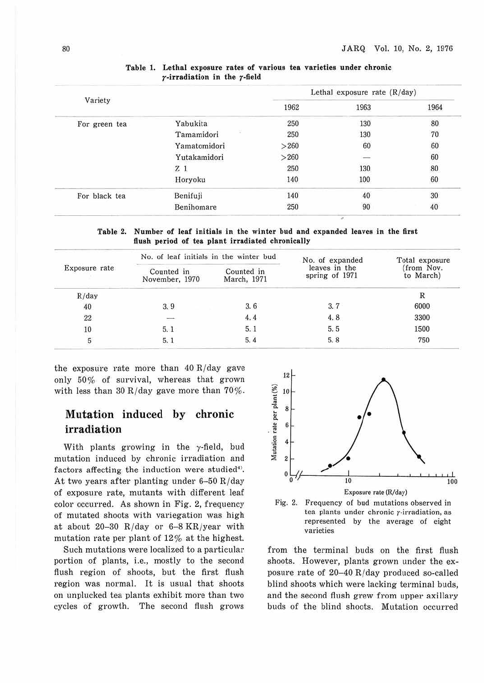|               |                | Lethal exposure rate $(R/day)$ |      |              |
|---------------|----------------|--------------------------------|------|--------------|
| Variety       |                | 1962                           | 1963 | 1964         |
| For green tea | Yabukita       | 250                            | 130  | 80           |
|               | Tamamidori     | 250                            | 130  | 70           |
|               | Yamatomidori   | >260                           | 60   | $60\atop 60$ |
|               | Yutakamidori   | >260                           |      |              |
|               | Z <sub>1</sub> | 250                            | 130  | 80           |
|               | Horyoku        | 140                            | 100  | 60           |
| For black tea | Benifuji       | 140                            | 40   | 30           |
|               | Benihomare     | 250                            | 90   | 40           |

#### **Table 1. Lethal exposure rates of various tea varieties under chronic r-irradiation in the r -field**

**Table 2. Number of leaf initials in the winter bud and expanded leaves in the first flush period of tea plant irradiated chronically** 

| Exposure rate | No. of leaf initials in the winter bud |                           | No. of expanded                 | Total exposure         |
|---------------|----------------------------------------|---------------------------|---------------------------------|------------------------|
|               | Counted in<br>November, 1970           | Counted in<br>March, 1971 | leaves in the<br>spring of 1971 | from Nov.<br>to March) |
| R/day         |                                        |                           |                                 | R                      |
| 40            | 3.9                                    | 3.6                       | 3, 7                            | 6000                   |
| 22            | --                                     | 4.4                       | 4.8                             | 3300                   |
| 10            | 5.1                                    | 5.1                       | 5.5                             | 1500                   |
| 5             | 5.1                                    | 5.4                       | 5.8                             | 750                    |

the exposure rate more than  $40 R/day$  gave only 50% of survival, whereas that grown with less than 30 R/day gave more than  $70\%$ .

## **Mutation induced by chronic irradiation**

With plants growing in the  $\gamma$ -field, bud mutation induced by chronic irradiation and factors affecting the induction were studied<sup>4</sup>. At two years after planting under  $6-50$  R/day of exposure rate, mutants with different leaf color occurred. As shown in Fig. 2, frequency of mutated shoots with variegation was high at about 20-30 R/day or  $6-8$  KR/year with mutation rate per plant of 12% at the highest.

Such mutations were localized to a particular portion of plants, i.e., mostly to the second flush region of shoots, but the first flush region was normal. It is usual that shoots on unplucked tea plants exhibit more than two cycles of growth. The second flush grows





from the terminal buds on the first flush shoots. However, plants grown under the exposure rate of 20-40 R/day produced so-called blind shoots which were lacking terminal buds, and the second flush grew from upper axillary buds of the blind shoots. Mutation occurred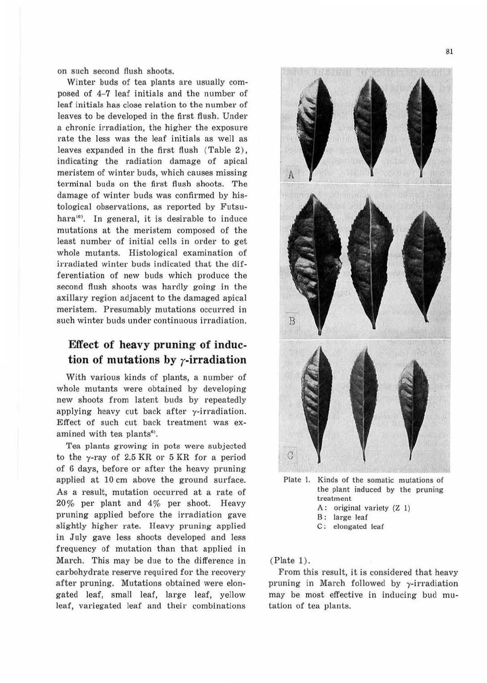on such second flush shoots.

Winter buds of tea plants are usually composed of 4-7 leaf initials and the number of leaf initials has close relation to the number of leaves to be developed in the first flush. Under a chronic irradiation, the higher the exposure rate the less was the leaf initials as well as leaves expanded in the first flush (Table 2), indicating the radiation damage of apical meristem of winter buds, which causes missing terminal buds on the first flush shoots. The damage of winter buds was confirmed by histological observations, as reported by Futsuhara<sup>10</sup>. In general, it is desirable to induce mutations at the meristem composed of the least number of initial cells in order to get whole mutants. Histological examination of irradiated winter buds indicated that the differentiation of new buds which produce the second flush shoots was hardly going in the axillary region adjacent to the damaged apical meristem. Presumably mutations occurred in such winter buds under continuous irradiation.

#### **Effect of heavy pruning of induc**tion of mutations by  $\gamma$ -irradiation

With various kinds of plants, a number of whole mutants were obtained by developing new shoots from latent buds by repeatedly applying heavy cut back after  $\gamma$ -irradiation. Effect of such cut back treatment was examined with tea plants<sup>6)</sup>.

Tea plants growing in pots were subjected to the  $\gamma$ -ray of 2.5 KR or 5 KR for a period of 6 days, before or after the heavy pruning applied at 10 cm above the ground surface. As a result, mutation occurred at a rate of 20% per plant and 4% per shoot. Heavy pruning applied before the irradiation gave slightly higher rate. Heavy pruning applied in July gave less shoots developed and less frequency of mutation than that applied in March. This may be due to the difference in carbohydrate reserve required for the recovery after pruning. Mutations obtained were elongated leaf, small leaf, large leaf, yellow leaf, variegated leaf and their combinations



Plate I. Kinds of the somatic mutations of the plant induced by the pruning treatment A: original variety (Z l) B: large leaf

C: elongated leaf

#### (Plate 1).

From this result, it is considered that heavy pruning in March followed by y-irradiation may be most effective in inducing bud mutation of tea plants.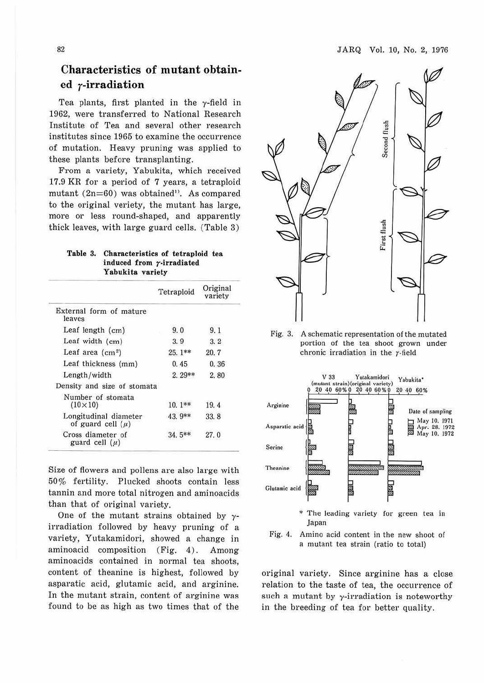### **Characteristics of mutant obtained r-irradiation**

Tea plants, first planted in the  $\gamma$ -field in 1962, were transferred to National Research Institute of Tea and several other research institutes since 1965 to examine the occurrence of mutation. Heavy pruning was applied to these plants before transplanting.

From a variety, Yabukita, which received 17.9 KR for a period of 7 years, a tetraploid mutant  $(2n=60)$  was obtained<sup>11</sup>. As compared to the original veriety, the mutant has large, more or less round-shaped, and apparently thick leaves, with large guard cells. (Table 3)

|  |                  | Table 3. Characteristics of tetraploid tea |  |  |  |
|--|------------------|--------------------------------------------|--|--|--|
|  |                  | induced from $\gamma$ -irradiated          |  |  |  |
|  | Yabukita variety |                                            |  |  |  |

|                                                | Tetraploid | Original<br>variety |
|------------------------------------------------|------------|---------------------|
| External form of mature<br>leaves              |            |                     |
| Leaf length $(cm)$                             | 9.0        | 9.1                 |
| Leaf width $(cm)$                              | 3.9        | 3, 2                |
| Leaf area $(cm2)$                              | $25.1$ **  | 20.7                |
| Leaf thickness (mm)                            | 0.45       | 0.36                |
| Length/width                                   | $2.29**$   | 2.80                |
| Density and size of stomata                    |            |                     |
| Number of stomata<br>$(10 \times 10)$          | $10.1**$   | 19.4                |
| Longitudinal diameter<br>of guard cell $(\mu)$ | 43.9**     | 33.8                |
| Cross diameter of<br>guard cell $(u)$          | $34.5**$   | 27.0                |

Size of flowers and pollens are also large with 50% fertility. Plucked shoots contain less tannin and more total nitrogen and aminoacids tban that of original variety.

One of the mutant strains obtained by *y*irradiation followed by heavy pruning of a variety, Yutakamidori, showed a change in aminoacid composition (Fig. 4). Among aminoacids contained in normal tea shoots, content of theanine is highest, followed by asparatic acid, glutamic acid, and arginine. In the mutant strain, content of arginine was found to be as high as two times that of the



Fig. 3. A schematic representation of the mutated portion of the tea shoot grown under chronic irradiation in the r-field





original variety. Since arginine has a close relation to the taste of tea, the occurrence of such a mutant by  $\gamma$ -irradiation is noteworthy in the breeding of tea for better quality.